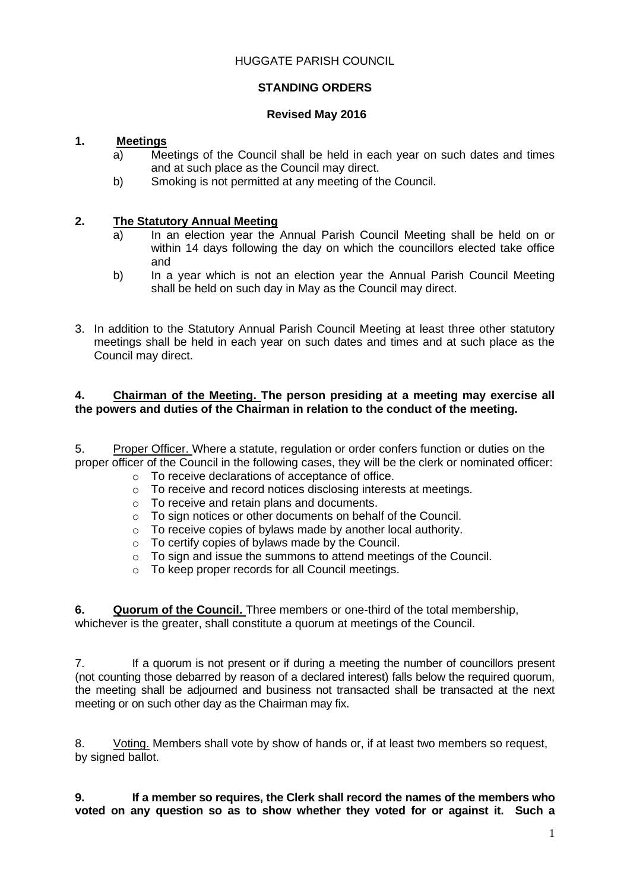### HUGGATE PARISH COUNCIL

# **STANDING ORDERS**

### **Revised May 2016**

### **1. Meetings**

- a) Meetings of the Council shall be held in each year on such dates and times and at such place as the Council may direct.
- b) Smoking is not permitted at any meeting of the Council.

### **2. The Statutory Annual Meeting**

- In an election year the Annual Parish Council Meeting shall be held on or within 14 days following the day on which the councillors elected take office and
- b) In a year which is not an election year the Annual Parish Council Meeting shall be held on such day in May as the Council may direct.
- 3. In addition to the Statutory Annual Parish Council Meeting at least three other statutory meetings shall be held in each year on such dates and times and at such place as the Council may direct.

### **4. Chairman of the Meeting. The person presiding at a meeting may exercise all the powers and duties of the Chairman in relation to the conduct of the meeting.**

5. Proper Officer. Where a statute, regulation or order confers function or duties on the proper officer of the Council in the following cases, they will be the clerk or nominated officer:

- o To receive declarations of acceptance of office.
- o To receive and record notices disclosing interests at meetings.
- o To receive and retain plans and documents.
- o To sign notices or other documents on behalf of the Council.
- o To receive copies of bylaws made by another local authority.
- o To certify copies of bylaws made by the Council.
- o To sign and issue the summons to attend meetings of the Council.
- o To keep proper records for all Council meetings.

**6. Quorum of the Council.** Three members or one-third of the total membership, whichever is the greater, shall constitute a quorum at meetings of the Council.

7. If a quorum is not present or if during a meeting the number of councillors present (not counting those debarred by reason of a declared interest) falls below the required quorum, the meeting shall be adjourned and business not transacted shall be transacted at the next meeting or on such other day as the Chairman may fix.

8. Voting. Members shall vote by show of hands or, if at least two members so request, by signed ballot.

**9. If a member so requires, the Clerk shall record the names of the members who voted on any question so as to show whether they voted for or against it. Such a**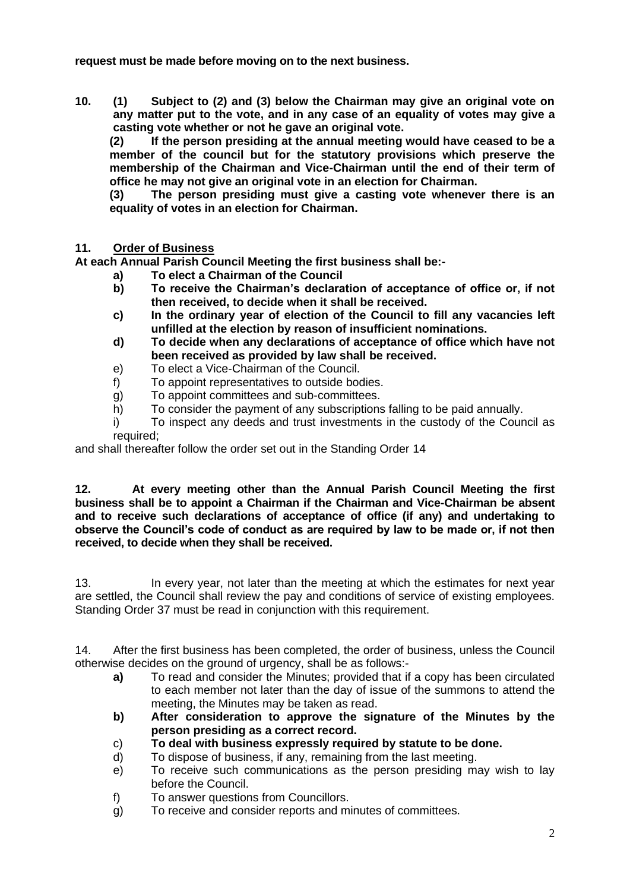**request must be made before moving on to the next business.**

**10. (1) Subject to (2) and (3) below the Chairman may give an original vote on any matter put to the vote, and in any case of an equality of votes may give a casting vote whether or not he gave an original vote.**

**(2) If the person presiding at the annual meeting would have ceased to be a member of the council but for the statutory provisions which preserve the membership of the Chairman and Vice-Chairman until the end of their term of office he may not give an original vote in an election for Chairman.**

**(3) The person presiding must give a casting vote whenever there is an equality of votes in an election for Chairman.**

### **11. Order of Business**

**At each Annual Parish Council Meeting the first business shall be:-**

- **a) To elect a Chairman of the Council**
- **b) To receive the Chairman's declaration of acceptance of office or, if not then received, to decide when it shall be received.**
- **c) In the ordinary year of election of the Council to fill any vacancies left unfilled at the election by reason of insufficient nominations.**
- **d) To decide when any declarations of acceptance of office which have not been received as provided by law shall be received.**
- e) To elect a Vice-Chairman of the Council.
- f) To appoint representatives to outside bodies.
- g) To appoint committees and sub-committees.
- h) To consider the payment of any subscriptions falling to be paid annually.
- i) To inspect any deeds and trust investments in the custody of the Council as required;

and shall thereafter follow the order set out in the Standing Order 14

**12. At every meeting other than the Annual Parish Council Meeting the first business shall be to appoint a Chairman if the Chairman and Vice-Chairman be absent and to receive such declarations of acceptance of office (if any) and undertaking to observe the Council's code of conduct as are required by law to be made or, if not then received, to decide when they shall be received.**

13. In every year, not later than the meeting at which the estimates for next year are settled, the Council shall review the pay and conditions of service of existing employees. Standing Order 37 must be read in conjunction with this requirement.

14. After the first business has been completed, the order of business, unless the Council otherwise decides on the ground of urgency, shall be as follows:-

- **a)** To read and consider the Minutes; provided that if a copy has been circulated to each member not later than the day of issue of the summons to attend the meeting, the Minutes may be taken as read.
- **b) After consideration to approve the signature of the Minutes by the person presiding as a correct record.**
- c) **To deal with business expressly required by statute to be done.**
- d) To dispose of business, if any, remaining from the last meeting.
- e) To receive such communications as the person presiding may wish to lay before the Council.
- f) To answer questions from Councillors.
- g) To receive and consider reports and minutes of committees.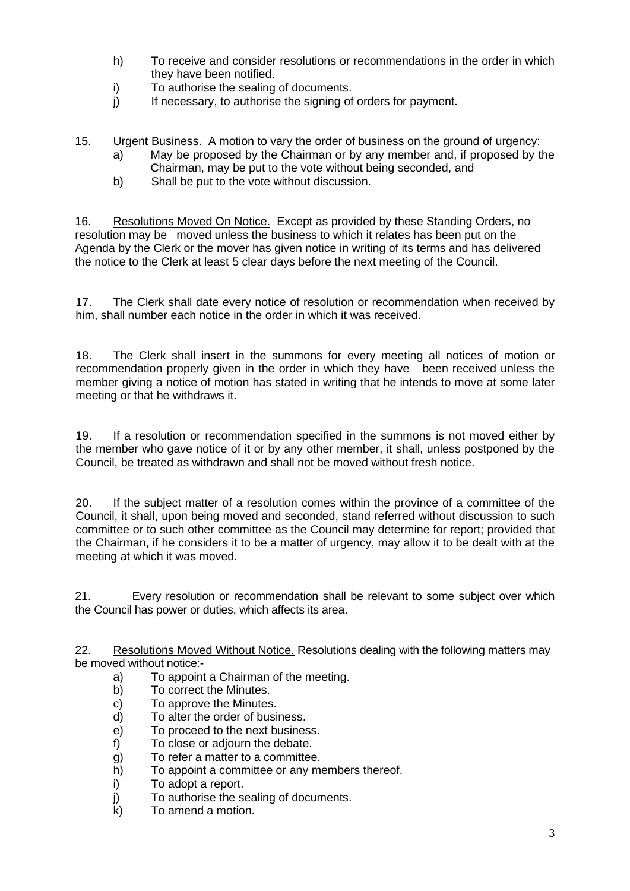- h) To receive and consider resolutions or recommendations in the order in which they have been notified.
- i) To authorise the sealing of documents.
- j) If necessary, to authorise the signing of orders for payment.
- 15. Urgent Business. A motion to vary the order of business on the ground of urgency:
	- a) May be proposed by the Chairman or by any member and, if proposed by the
	- Chairman, may be put to the vote without being seconded, and
	- b) Shall be put to the vote without discussion.

16. Resolutions Moved On Notice. Except as provided by these Standing Orders, no resolution may be moved unless the business to which it relates has been put on the Agenda by the Clerk or the mover has given notice in writing of its terms and has delivered the notice to the Clerk at least 5 clear days before the next meeting of the Council.

17. The Clerk shall date every notice of resolution or recommendation when received by him, shall number each notice in the order in which it was received.

18. The Clerk shall insert in the summons for every meeting all notices of motion or recommendation properly given in the order in which they have been received unless the member giving a notice of motion has stated in writing that he intends to move at some later meeting or that he withdraws it.

19. If a resolution or recommendation specified in the summons is not moved either by the member who gave notice of it or by any other member, it shall, unless postponed by the Council, be treated as withdrawn and shall not be moved without fresh notice.

20. If the subject matter of a resolution comes within the province of a committee of the Council, it shall, upon being moved and seconded, stand referred without discussion to such committee or to such other committee as the Council may determine for report; provided that the Chairman, if he considers it to be a matter of urgency, may allow it to be dealt with at the meeting at which it was moved.

21. Every resolution or recommendation shall be relevant to some subject over which the Council has power or duties, which affects its area.

22. Resolutions Moved Without Notice. Resolutions dealing with the following matters may be moved without notice --

- a) To appoint a Chairman of the meeting.
- b) To correct the Minutes.
- c) To approve the Minutes.
- d) To alter the order of business.
- e) To proceed to the next business.
- f) To close or adjourn the debate.
- g) To refer a matter to a committee.<br>h) To appoint a committee or any m
- To appoint a committee or any members thereof.
- i) To adopt a report.
- j) To authorise the sealing of documents.
- k) To amend a motion.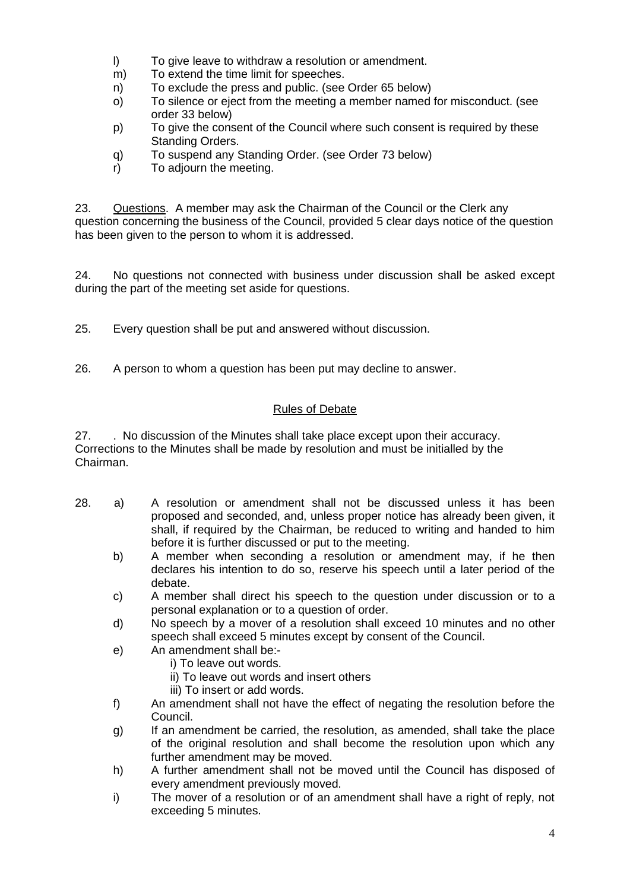- l) To give leave to withdraw a resolution or amendment.
- m) To extend the time limit for speeches.
- n) To exclude the press and public. (see Order 65 below)
- o) To silence or eject from the meeting a member named for misconduct. (see order 33 below)
- p) To give the consent of the Council where such consent is required by these Standing Orders.
- q) To suspend any Standing Order. (see Order 73 below)
- r) To adjourn the meeting.

23. Questions. A member may ask the Chairman of the Council or the Clerk any question concerning the business of the Council, provided 5 clear days notice of the question has been given to the person to whom it is addressed.

24. No questions not connected with business under discussion shall be asked except during the part of the meeting set aside for questions.

25. Every question shall be put and answered without discussion.

26. A person to whom a question has been put may decline to answer.

# Rules of Debate

27. . No discussion of the Minutes shall take place except upon their accuracy. Corrections to the Minutes shall be made by resolution and must be initialled by the Chairman.

- 28. a) A resolution or amendment shall not be discussed unless it has been proposed and seconded, and, unless proper notice has already been given, it shall, if required by the Chairman, be reduced to writing and handed to him before it is further discussed or put to the meeting.
	- b) A member when seconding a resolution or amendment may, if he then declares his intention to do so, reserve his speech until a later period of the debate.
	- c) A member shall direct his speech to the question under discussion or to a personal explanation or to a question of order.
	- d) No speech by a mover of a resolution shall exceed 10 minutes and no other speech shall exceed 5 minutes except by consent of the Council.
	- e) An amendment shall be:
		- i) To leave out words.
			- ii) To leave out words and insert others
			- iii) To insert or add words.
	- f) An amendment shall not have the effect of negating the resolution before the Council.
	- g) If an amendment be carried, the resolution, as amended, shall take the place of the original resolution and shall become the resolution upon which any further amendment may be moved.
	- h) A further amendment shall not be moved until the Council has disposed of every amendment previously moved.
	- i) The mover of a resolution or of an amendment shall have a right of reply, not exceeding 5 minutes.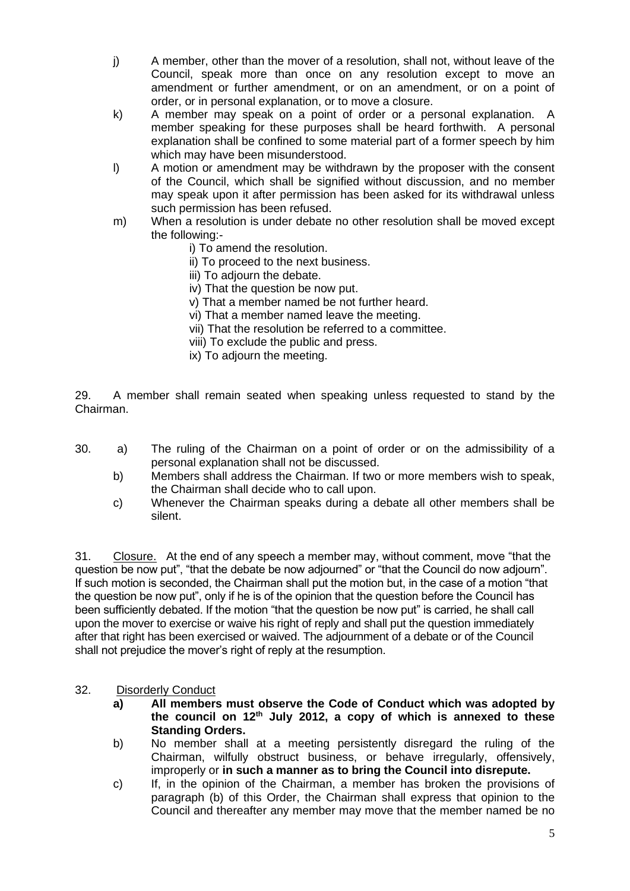- j) A member, other than the mover of a resolution, shall not, without leave of the Council, speak more than once on any resolution except to move an amendment or further amendment, or on an amendment, or on a point of order, or in personal explanation, or to move a closure.
- k) A member may speak on a point of order or a personal explanation. A member speaking for these purposes shall be heard forthwith. A personal explanation shall be confined to some material part of a former speech by him which may have been misunderstood.
- l) A motion or amendment may be withdrawn by the proposer with the consent of the Council, which shall be signified without discussion, and no member may speak upon it after permission has been asked for its withdrawal unless such permission has been refused.
- m) When a resolution is under debate no other resolution shall be moved except the following:
	- i) To amend the resolution.
	- ii) To proceed to the next business.
	- iii) To adjourn the debate.
	- iv) That the question be now put.
	- v) That a member named be not further heard.
	- vi) That a member named leave the meeting.
	- vii) That the resolution be referred to a committee.
	- viii) To exclude the public and press.
	- ix) To adjourn the meeting.

29. A member shall remain seated when speaking unless requested to stand by the Chairman.

- 30. a) The ruling of the Chairman on a point of order or on the admissibility of a personal explanation shall not be discussed.
	- b) Members shall address the Chairman. If two or more members wish to speak, the Chairman shall decide who to call upon.
	- c) Whenever the Chairman speaks during a debate all other members shall be silent.

31. Closure. At the end of any speech a member may, without comment, move "that the question be now put", "that the debate be now adjourned" or "that the Council do now adjourn". If such motion is seconded, the Chairman shall put the motion but, in the case of a motion "that the question be now put", only if he is of the opinion that the question before the Council has been sufficiently debated. If the motion "that the question be now put" is carried, he shall call upon the mover to exercise or waive his right of reply and shall put the question immediately after that right has been exercised or waived. The adjournment of a debate or of the Council shall not prejudice the mover's right of reply at the resumption.

#### 32. Disorderly Conduct

- **a) All members must observe the Code of Conduct which was adopted by the council on 12th July 2012, a copy of which is annexed to these Standing Orders.**
- b) No member shall at a meeting persistently disregard the ruling of the Chairman, wilfully obstruct business, or behave irregularly, offensively, improperly or **in such a manner as to bring the Council into disrepute.**
- c) If, in the opinion of the Chairman, a member has broken the provisions of paragraph (b) of this Order, the Chairman shall express that opinion to the Council and thereafter any member may move that the member named be no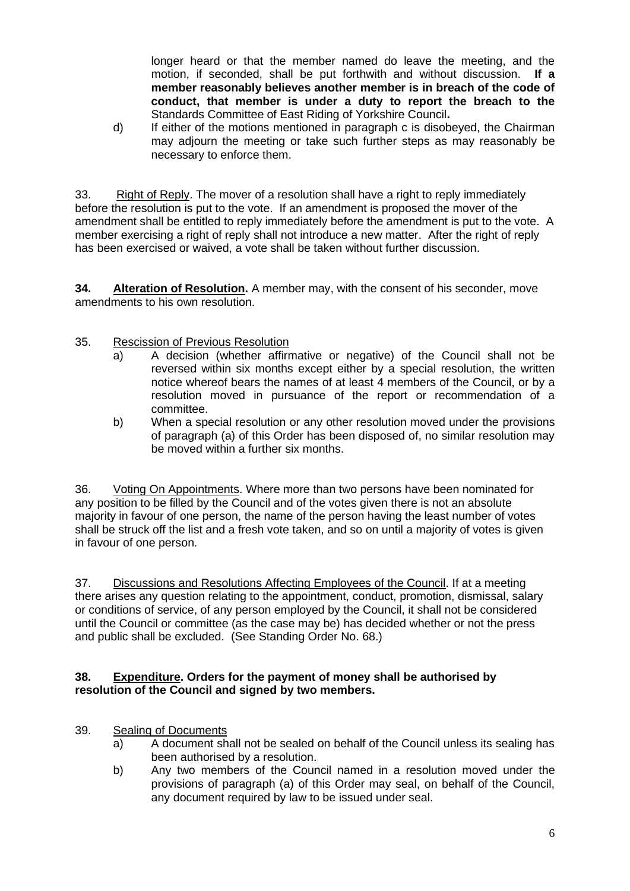longer heard or that the member named do leave the meeting, and the motion, if seconded, shall be put forthwith and without discussion. **If a member reasonably believes another member is in breach of the code of conduct, that member is under a duty to report the breach to the**  Standards Committee of East Riding of Yorkshire Council**.**

d) If either of the motions mentioned in paragraph c is disobeyed, the Chairman may adjourn the meeting or take such further steps as may reasonably be necessary to enforce them.

33. Right of Reply. The mover of a resolution shall have a right to reply immediately before the resolution is put to the vote. If an amendment is proposed the mover of the amendment shall be entitled to reply immediately before the amendment is put to the vote. A member exercising a right of reply shall not introduce a new matter. After the right of reply has been exercised or waived, a vote shall be taken without further discussion.

**34. Alteration of Resolution.** A member may, with the consent of his seconder, move amendments to his own resolution.

- 35. Rescission of Previous Resolution
	- a) A decision (whether affirmative or negative) of the Council shall not be reversed within six months except either by a special resolution, the written notice whereof bears the names of at least 4 members of the Council, or by a resolution moved in pursuance of the report or recommendation of a committee.
	- b) When a special resolution or any other resolution moved under the provisions of paragraph (a) of this Order has been disposed of, no similar resolution may be moved within a further six months.

36. Voting On Appointments. Where more than two persons have been nominated for any position to be filled by the Council and of the votes given there is not an absolute majority in favour of one person, the name of the person having the least number of votes shall be struck off the list and a fresh vote taken, and so on until a majority of votes is given in favour of one person.

37. Discussions and Resolutions Affecting Employees of the Council. If at a meeting there arises any question relating to the appointment, conduct, promotion, dismissal, salary or conditions of service, of any person employed by the Council, it shall not be considered until the Council or committee (as the case may be) has decided whether or not the press and public shall be excluded. (See Standing Order No. 68.)

# **38. Expenditure. Orders for the payment of money shall be authorised by resolution of the Council and signed by two members.**

- 39. Sealing of Documents
	- a) A document shall not be sealed on behalf of the Council unless its sealing has been authorised by a resolution.
	- b) Any two members of the Council named in a resolution moved under the provisions of paragraph (a) of this Order may seal, on behalf of the Council, any document required by law to be issued under seal.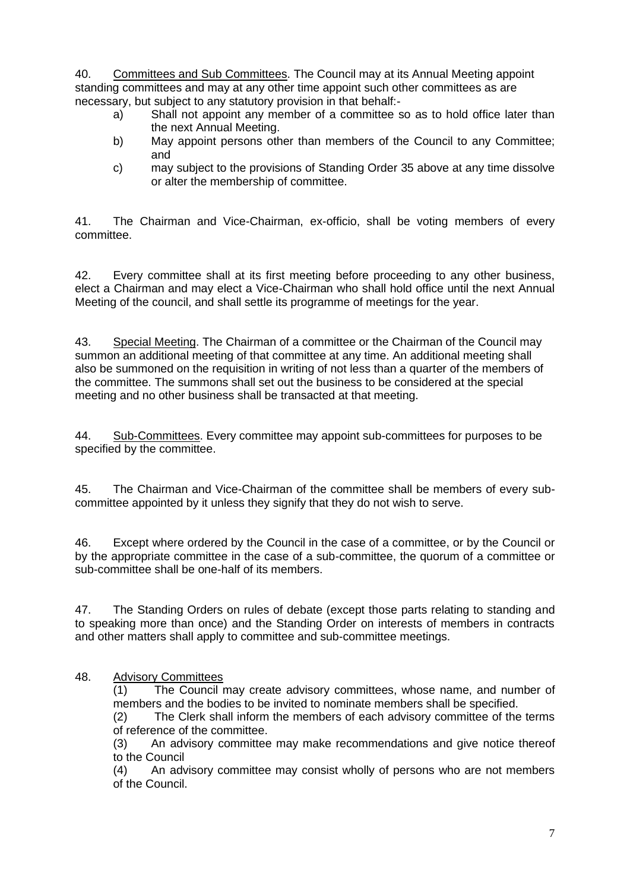40. Committees and Sub Committees. The Council may at its Annual Meeting appoint standing committees and may at any other time appoint such other committees as are necessary, but subject to any statutory provision in that behalf:-

- a) Shall not appoint any member of a committee so as to hold office later than the next Annual Meeting.
- b) May appoint persons other than members of the Council to any Committee; and
- c) may subject to the provisions of Standing Order 35 above at any time dissolve or alter the membership of committee.

41. The Chairman and Vice-Chairman, ex-officio, shall be voting members of every committee.

42. Every committee shall at its first meeting before proceeding to any other business, elect a Chairman and may elect a Vice-Chairman who shall hold office until the next Annual Meeting of the council, and shall settle its programme of meetings for the year.

43. Special Meeting. The Chairman of a committee or the Chairman of the Council may summon an additional meeting of that committee at any time. An additional meeting shall also be summoned on the requisition in writing of not less than a quarter of the members of the committee. The summons shall set out the business to be considered at the special meeting and no other business shall be transacted at that meeting.

44. Sub-Committees. Every committee may appoint sub-committees for purposes to be specified by the committee.

45. The Chairman and Vice-Chairman of the committee shall be members of every subcommittee appointed by it unless they signify that they do not wish to serve.

46. Except where ordered by the Council in the case of a committee, or by the Council or by the appropriate committee in the case of a sub-committee, the quorum of a committee or sub-committee shall be one-half of its members.

47. The Standing Orders on rules of debate (except those parts relating to standing and to speaking more than once) and the Standing Order on interests of members in contracts and other matters shall apply to committee and sub-committee meetings.

### 48. Advisory Committees

(1) The Council may create advisory committees, whose name, and number of members and the bodies to be invited to nominate members shall be specified.

(2) The Clerk shall inform the members of each advisory committee of the terms of reference of the committee.

(3) An advisory committee may make recommendations and give notice thereof to the Council

(4) An advisory committee may consist wholly of persons who are not members of the Council.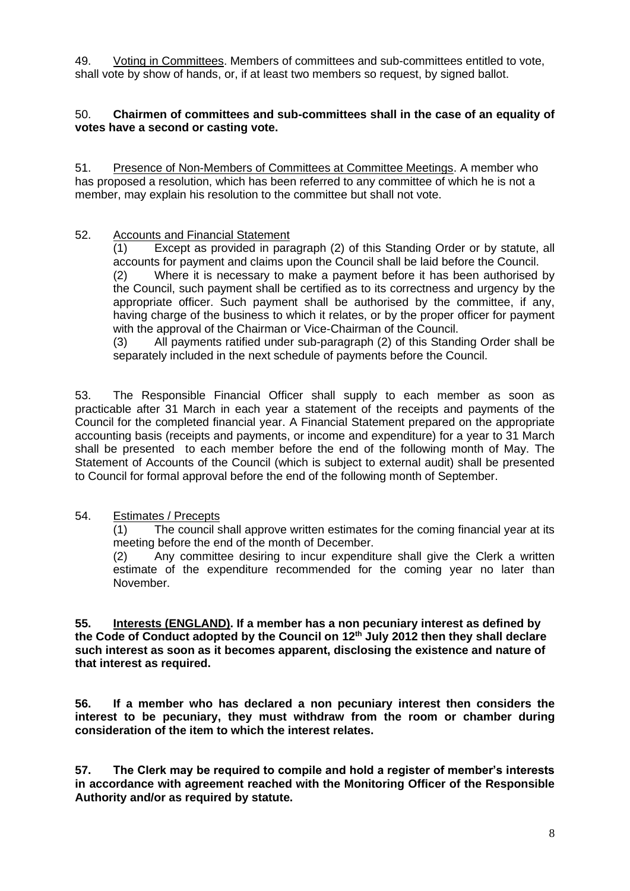49. Voting in Committees. Members of committees and sub-committees entitled to vote, shall vote by show of hands, or, if at least two members so request, by signed ballot.

### 50. **Chairmen of committees and sub-committees shall in the case of an equality of votes have a second or casting vote.**

51. Presence of Non-Members of Committees at Committee Meetings. A member who has proposed a resolution, which has been referred to any committee of which he is not a member, may explain his resolution to the committee but shall not vote.

### 52. Accounts and Financial Statement

(1) Except as provided in paragraph (2) of this Standing Order or by statute, all accounts for payment and claims upon the Council shall be laid before the Council. (2) Where it is necessary to make a payment before it has been authorised by the Council, such payment shall be certified as to its correctness and urgency by the appropriate officer. Such payment shall be authorised by the committee, if any, having charge of the business to which it relates, or by the proper officer for payment with the approval of the Chairman or Vice-Chairman of the Council.

(3) All payments ratified under sub-paragraph (2) of this Standing Order shall be separately included in the next schedule of payments before the Council.

53. The Responsible Financial Officer shall supply to each member as soon as practicable after 31 March in each year a statement of the receipts and payments of the Council for the completed financial year. A Financial Statement prepared on the appropriate accounting basis (receipts and payments, or income and expenditure) for a year to 31 March shall be presented to each member before the end of the following month of May. The Statement of Accounts of the Council (which is subject to external audit) shall be presented to Council for formal approval before the end of the following month of September.

### 54. Estimates / Precepts

(1) The council shall approve written estimates for the coming financial year at its meeting before the end of the month of December.

(2) Any committee desiring to incur expenditure shall give the Clerk a written estimate of the expenditure recommended for the coming year no later than November.

**55. Interests (ENGLAND). If a member has a non pecuniary interest as defined by the Code of Conduct adopted by the Council on 12th July 2012 then they shall declare such interest as soon as it becomes apparent, disclosing the existence and nature of that interest as required.**

**56. If a member who has declared a non pecuniary interest then considers the interest to be pecuniary, they must withdraw from the room or chamber during consideration of the item to which the interest relates.**

**57. The Clerk may be required to compile and hold a register of member's interests in accordance with agreement reached with the Monitoring Officer of the Responsible Authority and/or as required by statute.**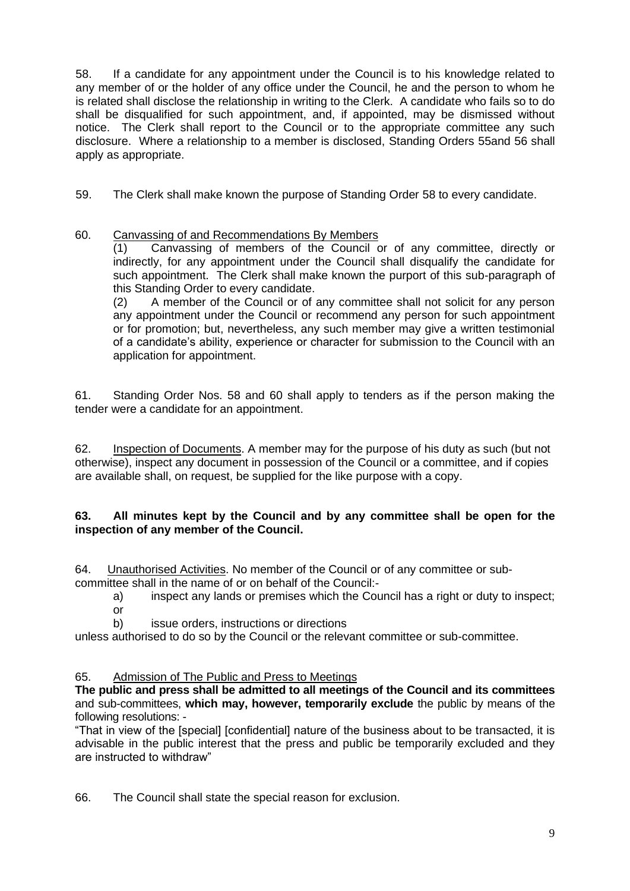58. If a candidate for any appointment under the Council is to his knowledge related to any member of or the holder of any office under the Council, he and the person to whom he is related shall disclose the relationship in writing to the Clerk. A candidate who fails so to do shall be disqualified for such appointment, and, if appointed, may be dismissed without notice. The Clerk shall report to the Council or to the appropriate committee any such disclosure. Where a relationship to a member is disclosed, Standing Orders 55and 56 shall apply as appropriate.

59. The Clerk shall make known the purpose of Standing Order 58 to every candidate.

# 60. Canvassing of and Recommendations By Members

(1) Canvassing of members of the Council or of any committee, directly or indirectly, for any appointment under the Council shall disqualify the candidate for such appointment. The Clerk shall make known the purport of this sub-paragraph of this Standing Order to every candidate.

(2) A member of the Council or of any committee shall not solicit for any person any appointment under the Council or recommend any person for such appointment or for promotion; but, nevertheless, any such member may give a written testimonial of a candidate's ability, experience or character for submission to the Council with an application for appointment.

61. Standing Order Nos. 58 and 60 shall apply to tenders as if the person making the tender were a candidate for an appointment.

62. Inspection of Documents. A member may for the purpose of his duty as such (but not otherwise), inspect any document in possession of the Council or a committee, and if copies are available shall, on request, be supplied for the like purpose with a copy.

### **63. All minutes kept by the Council and by any committee shall be open for the inspection of any member of the Council.**

64. Unauthorised Activities. No member of the Council or of any committee or subcommittee shall in the name of or on behalf of the Council:-

a) inspect any lands or premises which the Council has a right or duty to inspect; or

b) issue orders, instructions or directions

unless authorised to do so by the Council or the relevant committee or sub-committee.

# 65. Admission of The Public and Press to Meetings

**The public and press shall be admitted to all meetings of the Council and its committees** and sub-committees, **which may, however, temporarily exclude** the public by means of the following resolutions: -

"That in view of the [special] [confidential] nature of the business about to be transacted, it is advisable in the public interest that the press and public be temporarily excluded and they are instructed to withdraw"

66. The Council shall state the special reason for exclusion.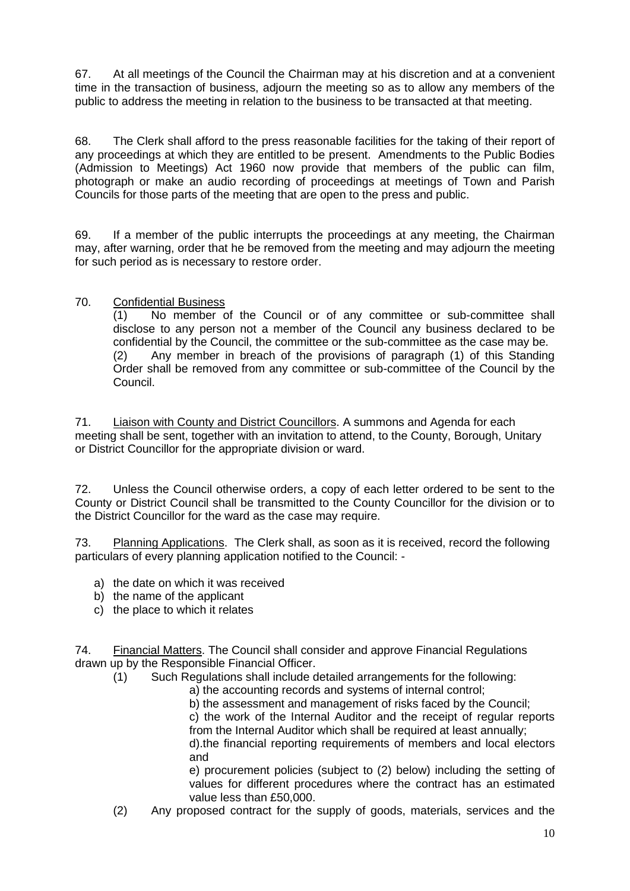67. At all meetings of the Council the Chairman may at his discretion and at a convenient time in the transaction of business, adjourn the meeting so as to allow any members of the public to address the meeting in relation to the business to be transacted at that meeting.

68. The Clerk shall afford to the press reasonable facilities for the taking of their report of any proceedings at which they are entitled to be present. Amendments to the Public Bodies (Admission to Meetings) Act 1960 now provide that members of the public can film, photograph or make an audio recording of proceedings at meetings of Town and Parish Councils for those parts of the meeting that are open to the press and public.

69. If a member of the public interrupts the proceedings at any meeting, the Chairman may, after warning, order that he be removed from the meeting and may adjourn the meeting for such period as is necessary to restore order.

### 70. Confidential Business

(1) No member of the Council or of any committee or sub-committee shall disclose to any person not a member of the Council any business declared to be confidential by the Council, the committee or the sub-committee as the case may be. (2) Any member in breach of the provisions of paragraph (1) of this Standing Order shall be removed from any committee or sub-committee of the Council by the Council.

71. Liaison with County and District Councillors. A summons and Agenda for each meeting shall be sent, together with an invitation to attend, to the County, Borough, Unitary or District Councillor for the appropriate division or ward.

72. Unless the Council otherwise orders, a copy of each letter ordered to be sent to the County or District Council shall be transmitted to the County Councillor for the division or to the District Councillor for the ward as the case may require.

73. Planning Applications. The Clerk shall, as soon as it is received, record the following particulars of every planning application notified to the Council: -

- a) the date on which it was received
- b) the name of the applicant
- c) the place to which it relates

74. Financial Matters. The Council shall consider and approve Financial Regulations drawn up by the Responsible Financial Officer.

(1) Such Regulations shall include detailed arrangements for the following:

a) the accounting records and systems of internal control;

b) the assessment and management of risks faced by the Council;

c) the work of the Internal Auditor and the receipt of regular reports from the Internal Auditor which shall be required at least annually;

d).the financial reporting requirements of members and local electors and

e) procurement policies (subject to (2) below) including the setting of values for different procedures where the contract has an estimated value less than £50,000.

(2) Any proposed contract for the supply of goods, materials, services and the